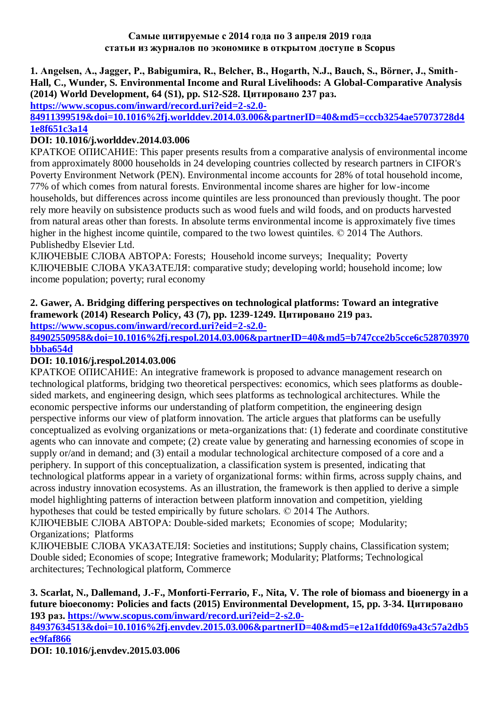#### **Самые цитируемые с 2014 года по 3 апреля 2019 года статьи из журналов по экономике в открытом доступе в Scopus**

### **1. Angelsen, A., Jagger, P., Babigumira, R., Belcher, B., Hogarth, N.J., Bauch, S., Börner, J., Smith-Hall, C., Wunder, S. Environmental Income and Rural Livelihoods: A Global-Comparative Analysis (2014) World Development, 64 (S1), pp. S12-S28. Цитировано 237 раз.**

**[https://www.scopus.com/inward/record.uri?eid=2-s2.0-](https://www.scopus.com/inward/record.uri?eid=2-s2.0-84911399519&doi=10.1016%2fj.worlddev.2014.03.006&partnerID=40&md5=cccb3254ae57073728d41e8f651c3a14)**

## **[84911399519&doi=10.1016%2fj.worlddev.2014.03.006&partnerID=40&md5=cccb3254ae57073728d4](https://www.scopus.com/inward/record.uri?eid=2-s2.0-84911399519&doi=10.1016%2fj.worlddev.2014.03.006&partnerID=40&md5=cccb3254ae57073728d41e8f651c3a14) [1e8f651c3a14](https://www.scopus.com/inward/record.uri?eid=2-s2.0-84911399519&doi=10.1016%2fj.worlddev.2014.03.006&partnerID=40&md5=cccb3254ae57073728d41e8f651c3a14)**

# **DOI: 10.1016/j.worlddev.2014.03.006**

КРАТКОЕ ОПИСАНИЕ: This paper presents results from a comparative analysis of environmental income from approximately 8000 households in 24 developing countries collected by research partners in CIFOR's Poverty Environment Network (PEN). Environmental income accounts for 28% of total household income, 77% of which comes from natural forests. Environmental income shares are higher for low-income households, but differences across income quintiles are less pronounced than previously thought. The poor rely more heavily on subsistence products such as wood fuels and wild foods, and on products harvested from natural areas other than forests. In absolute terms environmental income is approximately five times higher in the highest income quintile, compared to the two lowest quintiles. © 2014 The Authors. Publishedby Elsevier Ltd.

КЛЮЧЕВЫЕ СЛОВА АВТОРА: Forests; Household income surveys; Inequality; Poverty КЛЮЧЕВЫЕ СЛОВА УКАЗАТЕЛЯ: comparative study; developing world; household income; low income population; poverty; rural economy

# **2. Gawer, A. Bridging differing perspectives on technological platforms: Toward an integrative framework (2014) Research Policy, 43 (7), pp. 1239-1249. Цитировано 219 раз.**

**[https://www.scopus.com/inward/record.uri?eid=2-s2.0-](https://www.scopus.com/inward/record.uri?eid=2-s2.0-84902550958&doi=10.1016%2fj.respol.2014.03.006&partnerID=40&md5=b747cce2b5cce6c528703970bbba654d)**

**[84902550958&doi=10.1016%2fj.respol.2014.03.006&partnerID=40&md5=b747cce2b5cce6c528703970](https://www.scopus.com/inward/record.uri?eid=2-s2.0-84902550958&doi=10.1016%2fj.respol.2014.03.006&partnerID=40&md5=b747cce2b5cce6c528703970bbba654d) [bbba654d](https://www.scopus.com/inward/record.uri?eid=2-s2.0-84902550958&doi=10.1016%2fj.respol.2014.03.006&partnerID=40&md5=b747cce2b5cce6c528703970bbba654d)**

# **DOI: 10.1016/j.respol.2014.03.006**

КРАТКОЕ ОПИСАНИЕ: An integrative framework is proposed to advance management research on technological platforms, bridging two theoretical perspectives: economics, which sees platforms as doublesided markets, and engineering design, which sees platforms as technological architectures. While the economic perspective informs our understanding of platform competition, the engineering design perspective informs our view of platform innovation. The article argues that platforms can be usefully conceptualized as evolving organizations or meta-organizations that: (1) federate and coordinate constitutive agents who can innovate and compete; (2) create value by generating and harnessing economies of scope in supply or/and in demand; and (3) entail a modular technological architecture composed of a core and a periphery. In support of this conceptualization, a classification system is presented, indicating that technological platforms appear in a variety of organizational forms: within firms, across supply chains, and across industry innovation ecosystems. As an illustration, the framework is then applied to derive a simple model highlighting patterns of interaction between platform innovation and competition, yielding hypotheses that could be tested empirically by future scholars. © 2014 The Authors.

КЛЮЧЕВЫЕ СЛОВА АВТОРА: Double-sided markets; Economies of scope; Modularity; Organizations; Platforms

КЛЮЧЕВЫЕ СЛОВА УКАЗАТЕЛЯ: Societies and institutions; Supply chains, Classification system; Double sided; Economies of scope; Integrative framework; Modularity; Platforms; Technological architectures; Technological platform, Commerce

**3. Scarlat, N., Dallemand, J.-F., Monforti-Ferrario, F., Nita, V. The role of biomass and bioenergy in a future bioeconomy: Policies and facts (2015) Environmental Development, 15, pp. 3-34. Цитировано 193 раз. [https://www.scopus.com/inward/record.uri?eid=2-s2.0-](https://www.scopus.com/inward/record.uri?eid=2-s2.0-84937634513&doi=10.1016%2fj.envdev.2015.03.006&partnerID=40&md5=e12a1fdd0f69a43c57a2db5ec9faf866) [84937634513&doi=10.1016%2fj.envdev.2015.03.006&partnerID=40&md5=e12a1fdd0f69a43c57a2db5](https://www.scopus.com/inward/record.uri?eid=2-s2.0-84937634513&doi=10.1016%2fj.envdev.2015.03.006&partnerID=40&md5=e12a1fdd0f69a43c57a2db5ec9faf866) [ec9faf866](https://www.scopus.com/inward/record.uri?eid=2-s2.0-84937634513&doi=10.1016%2fj.envdev.2015.03.006&partnerID=40&md5=e12a1fdd0f69a43c57a2db5ec9faf866)**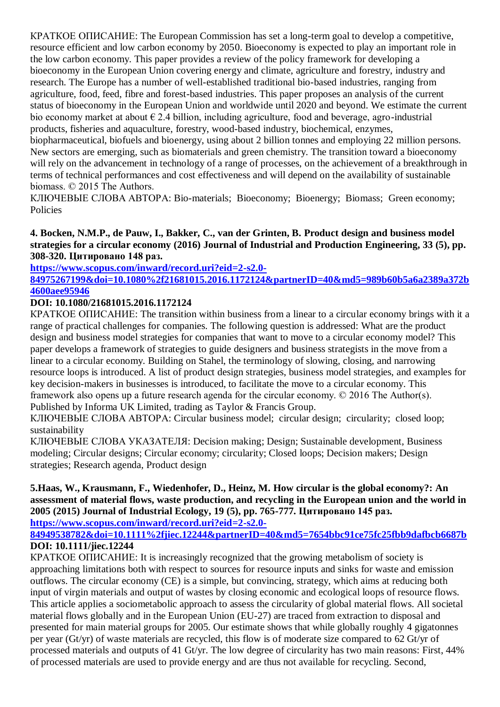КРАТКОЕ ОПИСАНИЕ: The European Commission has set a long-term goal to develop a competitive, resource efficient and low carbon economy by 2050. Bioeconomy is expected to play an important role in the low carbon economy. This paper provides a review of the policy framework for developing a bioeconomy in the European Union covering energy and climate, agriculture and forestry, industry and research. The Europe has a number of well-established traditional bio-based industries, ranging from agriculture, food, feed, fibre and forest-based industries. This paper proposes an analysis of the current status of bioeconomy in the European Union and worldwide until 2020 and beyond. We estimate the current bio economy market at about  $\epsilon$  2.4 billion, including agriculture, food and beverage, agro-industrial products, fisheries and aquaculture, forestry, wood-based industry, biochemical, enzymes,

biopharmaceutical, biofuels and bioenergy, using about 2 billion tonnes and employing 22 million persons. New sectors are emerging, such as biomaterials and green chemistry. The transition toward a bioeconomy will rely on the advancement in technology of a range of processes, on the achievement of a breakthrough in terms of technical performances and cost effectiveness and will depend on the availability of sustainable biomass. © 2015 The Authors.

КЛЮЧЕВЫЕ СЛОВА АВТОРА: Bio-materials; Bioeconomy; Bioenergy; Biomass; Green economy; Policies

### **4. Bocken, N.M.P., de Pauw, I., Bakker, C., van der Grinten, B. Product design and business model strategies for a circular economy (2016) Journal of Industrial and Production Engineering, 33 (5), pp. 308-320. Цитировано 148 раз.**

### **[https://www.scopus.com/inward/record.uri?eid=2-s2.0-](https://www.scopus.com/inward/record.uri?eid=2-s2.0-84975267199&doi=10.1080%2f21681015.2016.1172124&partnerID=40&md5=989b60b5a6a2389a372b4600aee95946) [84975267199&doi=10.1080%2f21681015.2016.1172124&partnerID=40&md5=989b60b5a6a2389a372b](https://www.scopus.com/inward/record.uri?eid=2-s2.0-84975267199&doi=10.1080%2f21681015.2016.1172124&partnerID=40&md5=989b60b5a6a2389a372b4600aee95946) [4600aee95946](https://www.scopus.com/inward/record.uri?eid=2-s2.0-84975267199&doi=10.1080%2f21681015.2016.1172124&partnerID=40&md5=989b60b5a6a2389a372b4600aee95946)**

# **DOI: 10.1080/21681015.2016.1172124**

КРАТКОЕ ОПИСАНИЕ: The transition within business from a linear to a circular economy brings with it a range of practical challenges for companies. The following question is addressed: What are the product design and business model strategies for companies that want to move to a circular economy model? This paper develops a framework of strategies to guide designers and business strategists in the move from a linear to a circular economy. Building on Stahel, the terminology of slowing, closing, and narrowing resource loops is introduced. A list of product design strategies, business model strategies, and examples for key decision-makers in businesses is introduced, to facilitate the move to a circular economy. This framework also opens up a future research agenda for the circular economy. © 2016 The Author(s). Published by Informa UK Limited, trading as Taylor & Francis Group.

КЛЮЧЕВЫЕ СЛОВА АВТОРА: Circular business model; circular design; circularity; closed loop; sustainability

КЛЮЧЕВЫЕ СЛОВА УКАЗАТЕЛЯ: Decision making; Design; Sustainable development, Business modeling; Circular designs; Circular economy; circularity; Closed loops; Decision makers; Design strategies; Research agenda, Product design

#### **5.Haas, W., Krausmann, F., Wiedenhofer, D., Heinz, M. How circular is the global economy?: An assessment of material flows, waste production, and recycling in the European union and the world in 2005 (2015) Journal of Industrial Ecology, 19 (5), pp. 765-777. Цитировано 145 раз. [https://www.scopus.com/inward/record.uri?eid=2-s2.0-](https://www.scopus.com/inward/record.uri?eid=2-s2.0-84949538782&doi=10.1111%2fjiec.12244&partnerID=40&md5=7654bbc91ce75fc25fbb9dafbcb6687b)**

**[84949538782&doi=10.1111%2fjiec.12244&partnerID=40&md5=7654bbc91ce75fc25fbb9dafbcb6687b](https://www.scopus.com/inward/record.uri?eid=2-s2.0-84949538782&doi=10.1111%2fjiec.12244&partnerID=40&md5=7654bbc91ce75fc25fbb9dafbcb6687b) DOI: 10.1111/jiec.12244**

КРАТКОЕ ОПИСАНИЕ: It is increasingly recognized that the growing metabolism of society is approaching limitations both with respect to sources for resource inputs and sinks for waste and emission outflows. The circular economy (CE) is a simple, but convincing, strategy, which aims at reducing both input of virgin materials and output of wastes by closing economic and ecological loops of resource flows. This article applies a sociometabolic approach to assess the circularity of global material flows. All societal material flows globally and in the European Union (EU-27) are traced from extraction to disposal and presented for main material groups for 2005. Our estimate shows that while globally roughly 4 gigatonnes per year (Gt/yr) of waste materials are recycled, this flow is of moderate size compared to 62 Gt/yr of processed materials and outputs of 41 Gt/yr. The low degree of circularity has two main reasons: First, 44% of processed materials are used to provide energy and are thus not available for recycling. Second,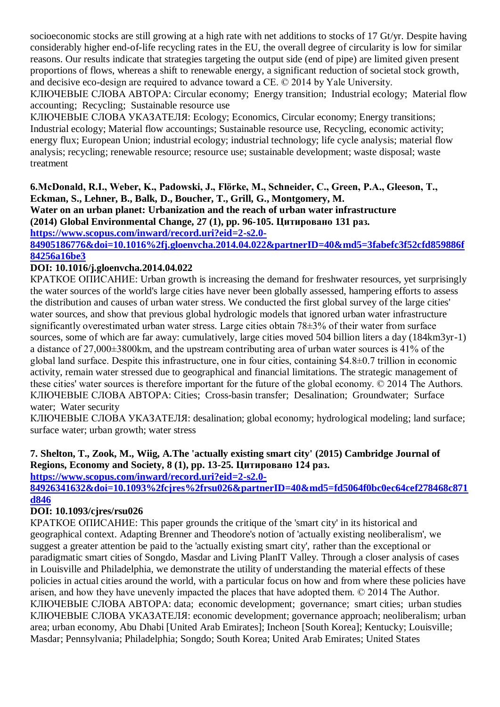socioeconomic stocks are still growing at a high rate with net additions to stocks of 17 Gt/yr. Despite having considerably higher end-of-life recycling rates in the EU, the overall degree of circularity is low for similar reasons. Our results indicate that strategies targeting the output side (end of pipe) are limited given present proportions of flows, whereas a shift to renewable energy, a significant reduction of societal stock growth, and decisive eco-design are required to advance toward a CE. © 2014 by Yale University.

КЛЮЧЕВЫЕ СЛОВА АВТОРА: Circular economy; Energy transition; Industrial ecology; Material flow accounting; Recycling; Sustainable resource use

КЛЮЧЕВЫЕ СЛОВА УКАЗАТЕЛЯ: Ecology; Economics, Circular economy; Energy transitions; Industrial ecology; Material flow accountings; Sustainable resource use, Recycling, economic activity; energy flux; European Union; industrial ecology; industrial technology; life cycle analysis; material flow analysis; recycling; renewable resource; resource use; sustainable development; waste disposal; waste treatment

#### **6.McDonald, R.I., Weber, K., Padowski, J., Flörke, M., Schneider, C., Green, P.A., Gleeson, T., Eckman, S., Lehner, B., Balk, D., Boucher, T., Grill, G., Montgomery, M.**

**Water on an urban planet: Urbanization and the reach of urban water infrastructure (2014) Global Environmental Change, 27 (1), pp. 96-105. Цитировано 131 раз.**

**[https://www.scopus.com/inward/record.uri?eid=2-s2.0-](https://www.scopus.com/inward/record.uri?eid=2-s2.0-84905186776&doi=10.1016%2fj.gloenvcha.2014.04.022&partnerID=40&md5=3fabefc3f52cfd859886f84256a16be3)**

## **[84905186776&doi=10.1016%2fj.gloenvcha.2014.04.022&partnerID=40&md5=3fabefc3f52cfd859886f](https://www.scopus.com/inward/record.uri?eid=2-s2.0-84905186776&doi=10.1016%2fj.gloenvcha.2014.04.022&partnerID=40&md5=3fabefc3f52cfd859886f84256a16be3) [84256a16be3](https://www.scopus.com/inward/record.uri?eid=2-s2.0-84905186776&doi=10.1016%2fj.gloenvcha.2014.04.022&partnerID=40&md5=3fabefc3f52cfd859886f84256a16be3)**

## **DOI: 10.1016/j.gloenvcha.2014.04.022**

КРАТКОЕ ОПИСАНИЕ: Urban growth is increasing the demand for freshwater resources, yet surprisingly the water sources of the world's large cities have never been globally assessed, hampering efforts to assess the distribution and causes of urban water stress. We conducted the first global survey of the large cities' water sources, and show that previous global hydrologic models that ignored urban water infrastructure significantly overestimated urban water stress. Large cities obtain 78±3% of their water from surface sources, some of which are far away: cumulatively, large cities moved 504 billion liters a day (184km3yr-1) a distance of 27,000±3800km, and the upstream contributing area of urban water sources is 41% of the global land surface. Despite this infrastructure, one in four cities, containing \$4.8±0.7 trillion in economic activity, remain water stressed due to geographical and financial limitations. The strategic management of these cities' water sources is therefore important for the future of the global economy. © 2014 The Authors. КЛЮЧЕВЫЕ СЛОВА АВТОРА: Cities; Cross-basin transfer; Desalination; Groundwater; Surface water; Water security

КЛЮЧЕВЫЕ СЛОВА УКАЗАТЕЛЯ: desalination; global economy; hydrological modeling; land surface; surface water; urban growth; water stress

# **7. Shelton, T., Zook, M., Wiig, A.The 'actually existing smart city' (2015) Cambridge Journal of Regions, Economy and Society, 8 (1), pp. 13-25. Цитировано 124 раз.**

**[https://www.scopus.com/inward/record.uri?eid=2-s2.0-](https://www.scopus.com/inward/record.uri?eid=2-s2.0-84926341632&doi=10.1093%2fcjres%2frsu026&partnerID=40&md5=fd5064f0bc0ec64cef278468c871d846)**

**[84926341632&doi=10.1093%2fcjres%2frsu026&partnerID=40&md5=fd5064f0bc0ec64cef278468c871](https://www.scopus.com/inward/record.uri?eid=2-s2.0-84926341632&doi=10.1093%2fcjres%2frsu026&partnerID=40&md5=fd5064f0bc0ec64cef278468c871d846) [d846](https://www.scopus.com/inward/record.uri?eid=2-s2.0-84926341632&doi=10.1093%2fcjres%2frsu026&partnerID=40&md5=fd5064f0bc0ec64cef278468c871d846)**

# **DOI: 10.1093/cjres/rsu026**

КРАТКОЕ ОПИСАНИЕ: This paper grounds the critique of the 'smart city' in its historical and geographical context. Adapting Brenner and Theodore's notion of 'actually existing neoliberalism', we suggest a greater attention be paid to the 'actually existing smart city', rather than the exceptional or paradigmatic smart cities of Songdo, Masdar and Living PlanIT Valley. Through a closer analysis of cases in Louisville and Philadelphia, we demonstrate the utility of understanding the material effects of these policies in actual cities around the world, with a particular focus on how and from where these policies have arisen, and how they have unevenly impacted the places that have adopted them. © 2014 The Author. КЛЮЧЕВЫЕ СЛОВА АВТОРА: data; economic development; governance; smart cities; urban studies КЛЮЧЕВЫЕ СЛОВА УКАЗАТЕЛЯ: economic development; governance approach; neoliberalism; urban area; urban economy, Abu Dhabi [United Arab Emirates]; Incheon [South Korea]; Kentucky; Louisville; Masdar; Pennsylvania; Philadelphia; Songdo; South Korea; United Arab Emirates; United States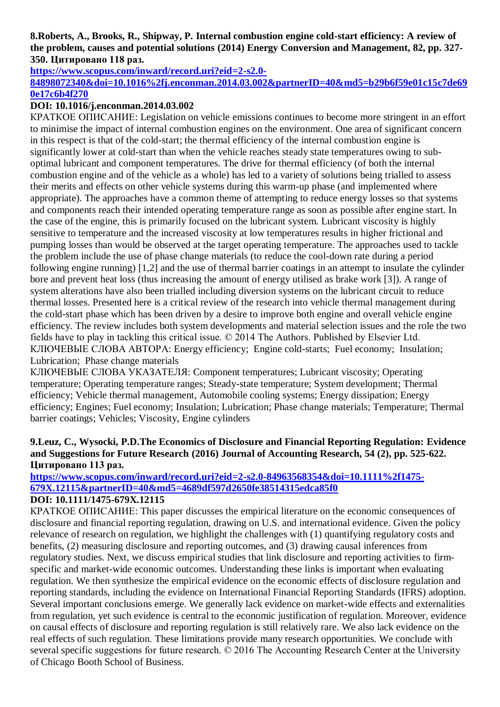### **8.Roberts, A., Brooks, R., Shipway, P. Internal combustion engine cold-start efficiency: A review of the problem, causes and potential solutions (2014) Energy Conversion and Management, 82, pp. 327- 350. Цитировано 118 раз.**

**[https://www.scopus.com/inward/record.uri?eid=2-s2.0-](https://www.scopus.com/inward/record.uri?eid=2-s2.0-84898072340&doi=10.1016%2fj.enconman.2014.03.002&partnerID=40&md5=b29b6f59e01c15c7de690e17c6b4f270)**

### **[84898072340&doi=10.1016%2fj.enconman.2014.03.002&partnerID=40&md5=b29b6f59e01c15c7de69](https://www.scopus.com/inward/record.uri?eid=2-s2.0-84898072340&doi=10.1016%2fj.enconman.2014.03.002&partnerID=40&md5=b29b6f59e01c15c7de690e17c6b4f270) [0e17c6b4f270](https://www.scopus.com/inward/record.uri?eid=2-s2.0-84898072340&doi=10.1016%2fj.enconman.2014.03.002&partnerID=40&md5=b29b6f59e01c15c7de690e17c6b4f270)**

### **DOI: 10.1016/j.enconman.2014.03.002**

КРАТКОЕ ОПИСАНИЕ: Legislation on vehicle emissions continues to become more stringent in an effort to minimise the impact of internal combustion engines on the environment. One area of significant concern in this respect is that of the cold-start; the thermal efficiency of the internal combustion engine is significantly lower at cold-start than when the vehicle reaches steady state temperatures owing to suboptimal lubricant and component temperatures. The drive for thermal efficiency (of both the internal combustion engine and of the vehicle as a whole) has led to a variety of solutions being trialled to assess their merits and effects on other vehicle systems during this warm-up phase (and implemented where appropriate). The approaches have a common theme of attempting to reduce energy losses so that systems and components reach their intended operating temperature range as soon as possible after engine start. In the case of the engine, this is primarily focused on the lubricant system. Lubricant viscosity is highly sensitive to temperature and the increased viscosity at low temperatures results in higher frictional and pumping losses than would be observed at the target operating temperature. The approaches used to tackle the problem include the use of phase change materials (to reduce the cool-down rate during a period following engine running) [1,2] and the use of thermal barrier coatings in an attempt to insulate the cylinder bore and prevent heat loss (thus increasing the amount of energy utilised as brake work [3]). A range of system alterations have also been trialled including diversion systems on the lubricant circuit to reduce thermal losses. Presented here is a critical review of the research into vehicle thermal management during the cold-start phase which has been driven by a desire to improve both engine and overall vehicle engine efficiency. The review includes both system developments and material selection issues and the role the two fields have to play in tackling this critical issue. © 2014 The Authors. Published by Elsevier Ltd. КЛЮЧЕВЫЕ СЛОВА АВТОРА: Energy efficiency; Engine cold-starts; Fuel economy; Insulation; Lubrication; Phase change materials

КЛЮЧЕВЫЕ СЛОВА УКАЗАТЕЛЯ: Component temperatures; Lubricant viscosity; Operating temperature; Operating temperature ranges; Steady-state temperature; System development; Thermal efficiency; Vehicle thermal management, Automobile cooling systems; Energy dissipation; Energy efficiency; Engines; Fuel economy; Insulation; Lubrication; Phase change materials; Temperature; Thermal barrier coatings; Vehicles; Viscosity, Engine cylinders

### **9.Leuz, C., Wysocki, P.D.The Economics of Disclosure and Financial Reporting Regulation: Evidence and Suggestions for Future Research (2016) Journal of Accounting Research, 54 (2), pp. 525-622. Цитировано 113 раз.**

#### **[https://www.scopus.com/inward/record.uri?eid=2-s2.0-84963568354&doi=10.1111%2f1475-](https://www.scopus.com/inward/record.uri?eid=2-s2.0-84963568354&doi=10.1111%2f1475-679X.12115&partnerID=40&md5=4689df597d2650fe38514315edca85f0) [679X.12115&partnerID=40&md5=4689df597d2650fe38514315edca85f0](https://www.scopus.com/inward/record.uri?eid=2-s2.0-84963568354&doi=10.1111%2f1475-679X.12115&partnerID=40&md5=4689df597d2650fe38514315edca85f0) DOI: 10.1111/1475-679X.12115**

### КРАТКОЕ ОПИСАНИЕ: This paper discusses the empirical literature on the economic consequences of disclosure and financial reporting regulation, drawing on U.S. and international evidence. Given the policy relevance of research on regulation, we highlight the challenges with (1) quantifying regulatory costs and benefits, (2) measuring disclosure and reporting outcomes, and (3) drawing causal inferences from regulatory studies. Next, we discuss empirical studies that link disclosure and reporting activities to firmspecific and market-wide economic outcomes. Understanding these links is important when evaluating regulation. We then synthesize the empirical evidence on the economic effects of disclosure regulation and reporting standards, including the evidence on International Financial Reporting Standards (IFRS) adoption. Several important conclusions emerge. We generally lack evidence on market-wide effects and externalities from regulation, yet such evidence is central to the economic justification of regulation. Moreover, evidence on causal effects of disclosure and reporting regulation is still relatively rare. We also lack evidence on the real effects of such regulation. These limitations provide many research opportunities. We conclude with several specific suggestions for future research. © 2016 The Accounting Research Center at the University of Chicago Booth School of Business.